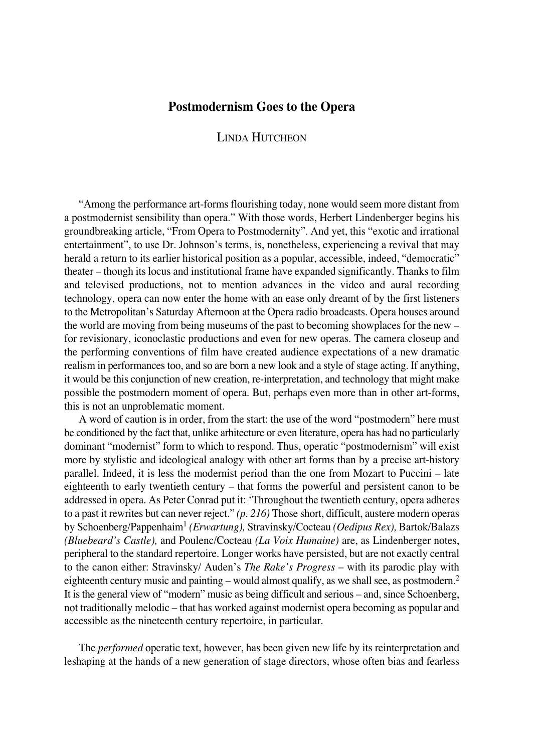## **Postmodernism Goes to the Opera**

# LINDA HUTCHEON

"Among the performance art-forms flourishing today, none would seem more distant from a postmodernist sensibility than opera." With those words, Herbert Lindenberger begins his groundbreaking article, "From Opera to Postmodernity". And yet, this "exotic and irrational entertainment", to use Dr. Johnson's terms, is, nonetheless, experiencing a revival that may herald a return to its earlier historical position as a popular, accessible, indeed, "democratic" theater – though its locus and institutional frame have expanded significantly. Thanks to film and televised productions, not to mention advances in the video and aural recording technology, opera can now enter the home with an ease only dreamt of by the first listeners to the Metropolitan's Saturday Afternoon at the Opera radio broadcasts. Opera houses around the world are moving from being museums of the past to becoming showplaces for the new – for revisionary, iconoclastic productions and even for new operas. The camera closeup and the performing conventions of film have created audience expectations of a new dramatic realism in performances too, and so are born a new look and a style of stage acting. If anything, it would be this conjunction of new creation, re-interpretation, and technology that might make possible the postmodern moment of opera. But, perhaps even more than in other art-forms, this is not an unproblematic moment.

A word of caution is in order, from the start: the use of the word "postmodern" here must be conditioned by the fact that, unlike arhitecture or even literature, opera has had no particularly dominant "modernist" form to which to respond. Thus, operatic "postmodernism" will exist more by stylistic and ideological analogy with other art forms than by a precise art-history parallel. Indeed, it is less the modernist period than the one from Mozart to Puccini – late eighteenth to early twentieth century – that forms the powerful and persistent canon to be addressed in opera. As Peter Conrad put it: 'Throughout the twentieth century, opera adheres to a past it rewrites but can never reject." *(p. 216)* Those short, difficult, austere modern operas by Schoenberg/Pappenhaim1 *(Erwartung),* Stravinsky/Cocteau *(Oedipus Rex),* Bartok/Balazs *(Bluebeard's Castle),* and Poulenc/Cocteau *(La Voix Humaine)* are, as Lindenberger notes, peripheral to the standard repertoire. Longer works have persisted, but are not exactly central to the canon either: Stravinsky/ Auden's *The Rake's Progress* – with its parodic play with eighteenth century music and painting – would almost qualify, as we shall see, as postmodern.<sup>2</sup> It is the general view of "modern" music as being difficult and serious – and, since Schoenberg, not traditionally melodic – that has worked against modernist opera becoming as popular and accessible as the nineteenth century repertoire, in particular.

The *performed* operatic text, however, has been given new life by its reinterpretation and leshaping at the hands of a new generation of stage directors, whose often bias and fearless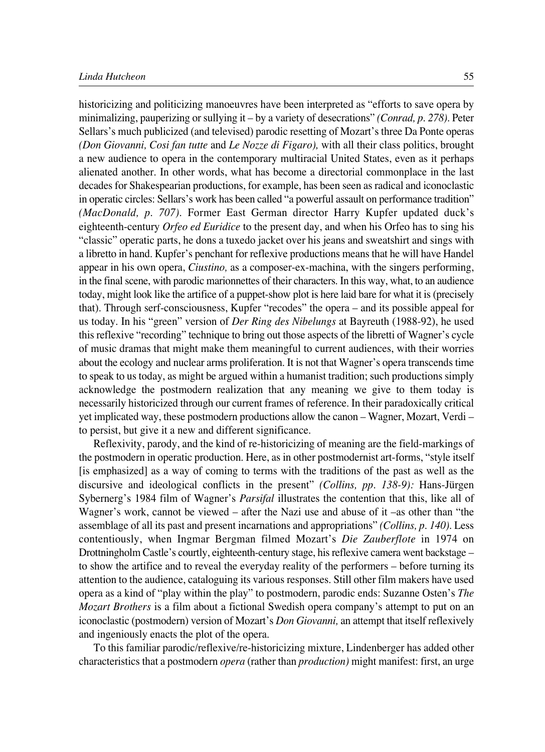historicizing and politicizing manoeuvres have been interpreted as "efforts to save opera by minimalizing, pauperizing or sullying it – by a variety of desecrations" *(Conrad, p. 278).* Peter Sellars's much publicized (and televised) parodic resetting of Mozart's three Da Ponte operas *(Don Giovanni, Cosi fan tutte* and *Le Nozze di Figaro),* with all their class politics, brought a new audience to opera in the contemporary multiracial United States, even as it perhaps alienated another. In other words, what has become a directorial commonplace in the last decades for Shakespearian productions, for example, has been seen as radical and iconoclastic in operatic circles: Sellars's work has been called "a powerful assault on performance tradition" *(MacDonald, p. 707).* Former East German director Harry Kupfer updated duck's eighteenth-century *Orfeo ed Euridice* to the present day, and when his Orfeo has to sing his "classic" operatic parts, he dons a tuxedo jacket over his jeans and sweatshirt and sings with a libretto in hand. Kupfer's penchant for reflexive productions means that he will have Handel appear in his own opera, *Ciustino*, as a composer-ex-machina, with the singers performing, in the final scene, with parodic marionnettes of their characters. In this way, what, to an audience today, might look like the artifice of a puppet-show plot is here laid bare for what it is (precisely that). Through serf-consciousness, Kupfer "recodes" the opera – and its possible appeal for us today. In his "green" version of *Der Ring des Nibelungs* at Bayreuth (1988°92), he used this reflexive "recording" technique to bring out those aspects of the libretti of Wagner's cycle of music dramas that might make them meaningful to current audiences, with their worries about the ecology and nuclear arms proliferation. It is not that Wagner's opera transcends time to speak to us today, as might be argued within a humanist tradition; such productions simply acknowledge the postmodern realization that any meaning we give to them today is necessarily historicized through our current frames of reference. In their paradoxically critical yet implicated way, these postmodern productions allow the canon – Wagner, Mozart, Verdi – to persist, but give it a new and different significance.

Reflexivity, parody, and the kind of re-historicizing of meaning are the field-markings of the postmodern in operatic production. Here, as in other postmodernist art-forms, "style itself [is emphasized] as a way of coming to terms with the traditions of the past as well as the discursive and ideological conflicts in the present" *(Collins, pp. 138-9)*: Hans-Jürgen Sybernerg's 1984 film of Wagner's *Parsifal* illustrates the contention that this, like all of Wagner's work, cannot be viewed – after the Nazi use and abuse of it –as other than "the assemblage of all its past and present incarnations and appropriations" *(Collins, p. 140).* Less contentiously, when Ingmar Bergman filmed Mozart's *Die Zauberflote* in 1974 on Drottningholm Castle's courtly, eighteenth-century stage, his reflexive camera went backstage – to show the artifice and to reveal the everyday reality of the performers – before turning its attention to the audience, cataloguing its various responses. Still other film makers have used opera as a kind of "play within the play" to postmodern, parodic ends: Suzanne Osten's *The Mozart Brothers* is a film about a fictional Swedish opera company's attempt to put on an iconoclastic (postmodern) version of Mozart's *Don Giovanni,* an attempt that itself reflexively and ingeniously enacts the plot of the opera.

To this familiar parodic/reflexive/re-historicizing mixture, Lindenberger has added other characteristics that a postmodern *opera* (rather than *production)* might manifest: first, an urge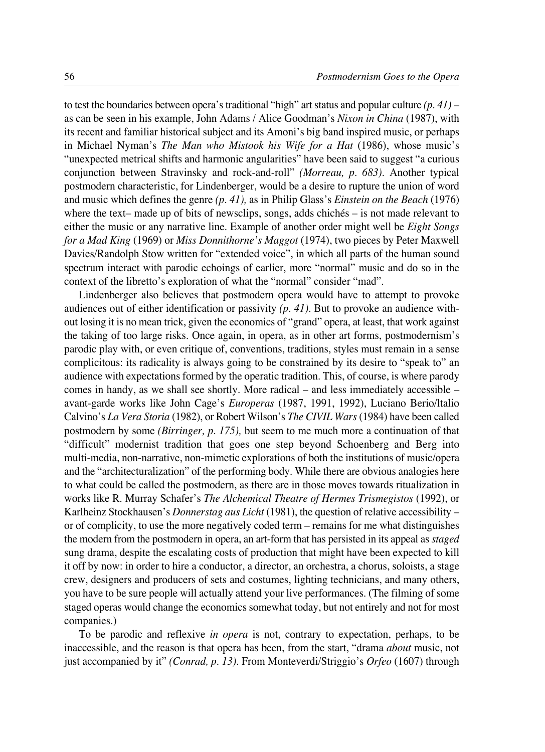to test the boundaries between opera's traditional "high" art status and popular culture *(p. 41) –* as can be seen in his example, John Adams / Alice Goodman's *Nixon in China* (1987), with its recent and familiar historical subject and its Amoni's big band inspired music, or perhaps in Michael Nyman's *The Man who Mistook his Wife for a Hat* (1986), whose music's "unexpected metrical shifts and harmonic angularities" have been said to suggest "a curious conjunction between Stravinsky and rock-and-roll" *(Morreau, p. 683)*. Another typical postmodern characteristic, for Lindenberger, would be a desire to rupture the union of word and music which defines the genre *(p. 41),* as in Philip Glass's *Einstein on the Beach* (1976) where the text– made up of bits of newsclips, songs, adds chichés – is not made relevant to either the music or any narrative line. Example of another order might well be *Eight Songs for a Mad King* (1969) or *Miss Donnithorne's Maggot* (1974), two pieces by Peter Maxwell Davies/Randolph Stow written for "extended voice", in which all parts of the human sound spectrum interact with parodic echoings of earlier, more "normal" music and do so in the context of the libretto's exploration of what the "normal" consider "mad".

Lindenberger also believes that postmodern opera would have to attempt to provoke audiences out of either identification or passivity *(p. 41).* But to provoke an audience without losing it is no mean trick, given the economics of "grand" opera, at least, that work against the taking of too large risks. Once again, in opera, as in other art forms, postmodernism's parodic play with, or even critique of, conventions, traditions, styles must remain in a sense complicitous: its radicality is always going to be constrained by its desire to "speak to" an audience with expectations formed by the operatic tradition. This, of course, is where parody comes in handy, as we shall see shortly. More radical – and less immediately accessible – avant°garde works like John Cage's *Europeras* (1987, 1991, 1992), Luciano Berio/ltalio Calvino's *La Vera Storia* (1982), or Robert Wilson's *The CIVIL Wars* (1984) have been called postmodern by some *(Birringer, p. 175),* but seem to me much more a continuation of that "difficult" modernist tradition that goes one step beyond Schoenberg and Berg into multi-media, non-narrative, non-mimetic explorations of both the institutions of music/opera and the "architecturalization" of the performing body. While there are obvious analogies here to what could be called the postmodern, as there are in those moves towards ritualization in works like R. Murray Schafer's *The Alchemical Theatre of Hermes Trismegistos* (1992), or Karlheinz Stockhausen's *Donnerstag aus Licht* (1981), the question of relative accessibility – or of complicity, to use the more negatively coded term – remains for me what distinguishes the modern from the postmodern in opera, an art-form that has persisted in its appeal as *staged* sung drama, despite the escalating costs of production that might have been expected to kill it off by now: in order to hire a conductor, a director, an orchestra, a chorus, soloists, a stage crew, designers and producers of sets and costumes, lighting technicians, and many others, you have to be sure people will actually attend your live performances. (The filming of some staged operas would change the economics somewhat today, but not entirely and not for most companies.)

To be parodic and reflexive *in opera* is not, contrary to expectation, perhaps, to be inaccessible, and the reason is that opera has been, from the start, "drama *about* music, not just accompanied by it" *(Conrad, p. 13).* From Monteverdi/Striggio's *Orfeo* (1607) through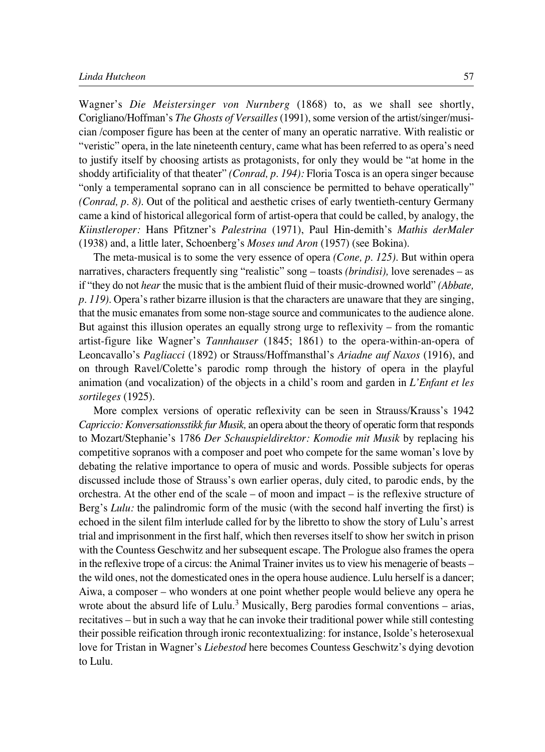Wagner's *Die Meistersinger von Nurnberg* (1868) to, as we shall see shortly, Corigliano/Hoffman's *The Ghosts of Versailles* (1991), some version of the artist/singer/musician /composer figure has been at the center of many an operatic narrative. With realistic or "veristic" opera, in the late nineteenth century, came what has been referred to as opera's need to justify itself by choosing artists as protagonists, for only they would be "at home in the shoddy artificiality of that theater" *(Conrad, p. 194):* Floria Tosca is an opera singer because "only a temperamental soprano can in all conscience be permitted to behave operatically" *(Conrad, p. 8).* Out of the political and aesthetic crises of early twentieth-century Germany came a kind of historical allegorical form of artist-opera that could be called, by analogy, the *Kiinstleroper:* Hans Pfitzner's *Palestrina* (1971), Paul Hin°demith's *Mathis derMaler* (1938) and, a little later, Schoenberg's *Moses und Aron* (1957) (see Bokina).

The meta-musical is to some the very essence of opera *(Cone, p. 125)*. But within opera narratives, characters frequently sing "realistic" song – toasts *(brindisi),* love serenades – as if "they do not *hear* the music that is the ambient fluid of their music-drowned world" *(Abbate, p. 119).* Opera's rather bizarre illusion is that the characters are unaware that they are singing, that the music emanates from some non-stage source and communicates to the audience alone. But against this illusion operates an equally strong urge to reflexivity – from the romantic artist-figure like Wagner's *Tannhauser* (1845; 1861) to the opera-within-an-opera of Leoncavallo's *Pagliacci* (1892) or Strauss/Hoffmansthal's *Ariadne auf Naxos* (1916), and on through Ravel/Colette's parodic romp through the history of opera in the playful animation (and vocalization) of the objects in a child's room and garden in *L'Enfant et les sortileges* (1925).

More complex versions of operatic reflexivity can be seen in Strauss/Krauss's 1942 *Capriccio: Konversationsstikk fur Musik,* an opera about the theory of operatic form that responds to Mozart/Stephanie's 1786 *Der Schauspieldirektor: Komodie mit Musik* by replacing his competitive sopranos with a composer and poet who compete for the same woman's love by debating the relative importance to opera of music and words. Possible subjects for operas discussed include those of Strauss's own earlier operas, duly cited, to parodic ends, by the orchestra. At the other end of the scale – of moon and impact – is the reflexive structure of Berg's *Lulu*: the palindromic form of the music (with the second half inverting the first) is echoed in the silent film interlude called for by the libretto to show the story of Lulu's arrest trial and imprisonment in the first half, which then reverses itself to show her switch in prison with the Countess Geschwitz and her subsequent escape. The Prologue also frames the opera in the reflexive trope of a circus: the Animal Trainer invites us to view his menagerie of beasts – the wild ones, not the domesticated ones in the opera house audience. Lulu herself is a dancer; Aiwa, a composer – who wonders at one point whether people would believe any opera he wrote about the absurd life of Lulu.<sup>3</sup> Musically, Berg parodies formal conventions  $-$  arias, recitatives – but in such a way that he can invoke their traditional power while still contesting their possible reification through ironic recontextualizing: for instance, Isolde's heterosexual love for Tristan in Wagner's *Liebestod* here becomes Countess Geschwitz's dying devotion to Lulu.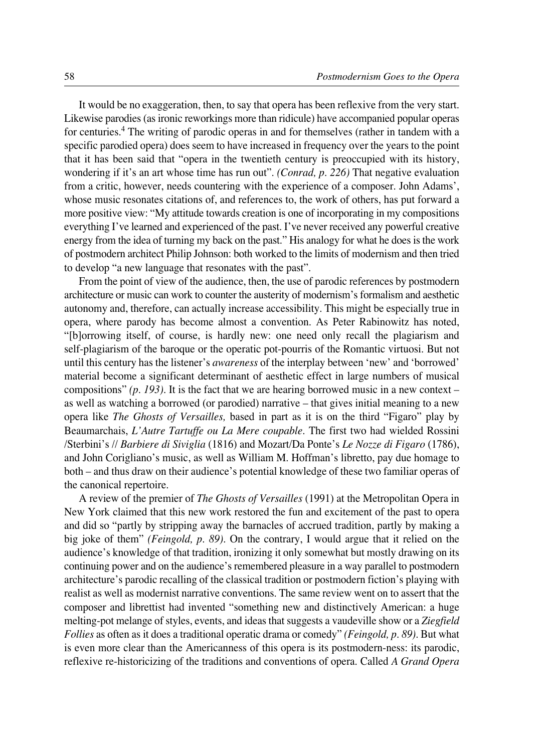It would be no exaggeration, then, to say that opera has been reflexive from the very start. Likewise parodies (as ironic reworkings more than ridicule) have accompanied popular operas for centuries.4 The writing of parodic operas in and for themselves (rather in tandem with a specific parodied opera) does seem to have increased in frequency over the years to the point that it has been said that "opera in the twentieth century is preoccupied with its history, wondering if it's an art whose time has run out". *(Conrad, p. 226)* That negative evaluation from a critic, however, needs countering with the experience of a composer. John Adams', whose music resonates citations of, and references to, the work of others, has put forward a more positive view: "My attitude towards creation is one of incorporating in my compositions everything I've learned and experienced of the past. I've never received any powerful creative energy from the idea of turning my back on the past." His analogy for what he does is the work of postmodern architect Philip Johnson: both worked to the limits of modernism and then tried to develop "a new language that resonates with the past".

From the point of view of the audience, then, the use of parodic references by postmodern architecture or music can work to counter the austerity of modernism's formalism and aesthetic autonomy and, therefore, can actually increase accessibility. This might be especially true in opera, where parody has become almost a convention. As Peter Rabinowitz has noted, "[b]orrowing itself, of course, is hardly new: one need only recall the plagiarism and self-plagiarism of the baroque or the operatic pot-pourris of the Romantic virtuosi. But not until this century has the listener's *awareness* of the interplay between 'new' and 'borrowed' material become a significant determinant of aesthetic effect in large numbers of musical compositions" *(p. 193).* It is the fact that we are hearing borrowed music in a new context – as well as watching a borrowed (or parodied) narrative – that gives initial meaning to a new opera like *The Ghosts of Versailles,* based in part as it is on the third "Figaro" play by Beaumarchais, *L'Autre Tartuffe ou La Mere coupable.* The first two had wielded Rossini /Sterbini's // *Barbiere di Siviglia* (1816) and Mozart/Da Ponte's *Le Nozze di Figaro* (1786), and John Corigliano's music, as well as William M. Hoffman's libretto, pay due homage to both – and thus draw on their audience's potential knowledge of these two familiar operas of the canonical repertoire.

A review of the premier of *The Ghosts of Versailles* (1991) at the Metropolitan Opera in New York claimed that this new work restored the fun and excitement of the past to opera and did so "partly by stripping away the barnacles of accrued tradition, partly by making a big joke of them" *(Feingold, p. 89).* On the contrary, I would argue that it relied on the audience's knowledge of that tradition, ironizing it only somewhat but mostly drawing on its continuing power and on the audience's remembered pleasure in a way parallel to postmodern architecture's parodic recalling of the classical tradition or postmodern fiction's playing with realist as well as modernist narrative conventions. The same review went on to assert that the composer and librettist had invented "something new and distinctively American: a huge melting°pot melange of styles, events, and ideas that suggests a vaudeville show or a *Ziegfield Follies* as often as it does a traditional operatic drama or comedy" *(Feingold, p. 89).* But what is even more clear than the Americanness of this opera is its postmodern-ness: its parodic, reflexive re°historicizing of the traditions and conventions of opera. Called *A Grand Opera*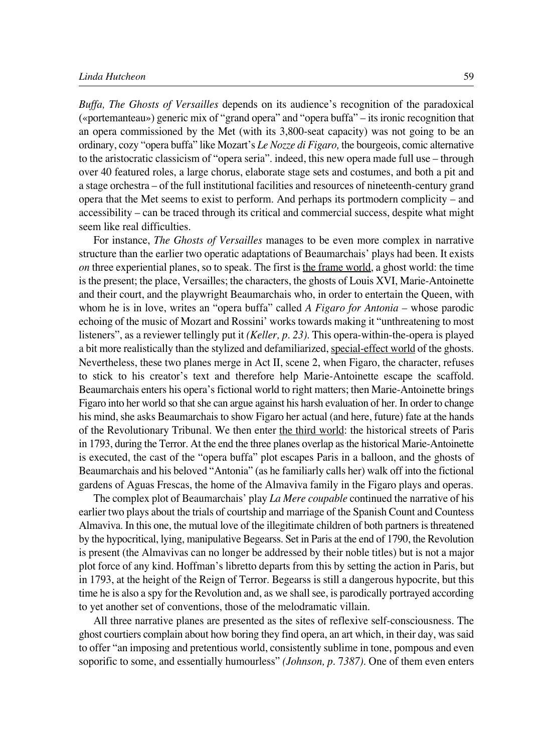#### *Linda Hutcheon* 59

*Buffa, The Ghosts of Versailles* depends on its audience's recognition of the paradoxical («portemanteau») generic mix of "grand opera" and "opera buffa" – its ironic recognition that an opera commissioned by the Met (with its 3,800-seat capacity) was not going to be an ordinary, cozy "opera buffa" like Mozart's *Le Nozze di Figaro,* the bourgeois, comic alternative to the aristocratic classicism of "opera seria". indeed, this new opera made full use – through over 40 featured roles, a large chorus, elaborate stage sets and costumes, and both a pit and a stage orchestra – of the full institutional facilities and resources of nineteenth-century grand opera that the Met seems to exist to perform. And perhaps its portmodern complicity – and accessibility – can be traced through its critical and commercial success, despite what might seem like real difficulties.

For instance, *The Ghosts of Versailles* manages to be even more complex in narrative structure than the earlier two operatic adaptations of Beaumarchais' plays had been. It exists *on* three experiential planes, so to speak. The first is the frame world, a ghost world: the time is the present; the place, Versailles; the characters, the ghosts of Louis XVI, Marie-Antoinette and their court, and the playwright Beaumarchais who, in order to entertain the Queen, with whom he is in love, writes an "opera buffa" called *A Figaro for Antonia –* whose parodic echoing of the music of Mozart and Rossini' works towards making it "unthreatening to most listeners", as a reviewer tellingly put it *(Keller, p. 23)*. This opera-within-the-opera is played a bit more realistically than the stylized and defamiliarized, special-effect world of the ghosts. Nevertheless, these two planes merge in Act II, scene 2, when Figaro, the character, refuses to stick to his creator's text and therefore help Marie°Antoinette escape the scaffold. Beaumarchais enters his opera's fictional world to right matters; then Marie-Antoinette brings Figaro into her world so that she can argue against his harsh evaluation of her. In order to change his mind, she asks Beaumarchais to show Figaro her actual (and here, future) fate at the hands of the Revolutionary Tribunal. We then enter the third world: the historical streets of Paris in 1793, during the Terror. At the end the three planes overlap as the historical Marie-Antoinette is executed, the cast of the "opera buffa" plot escapes Paris in a balloon, and the ghosts of Beaumarchais and his beloved "Antonia" (as he familiarly calls her) walk off into the fictional gardens of Aguas Frescas, the home of the Almaviva family in the Figaro plays and operas.

The complex plot of Beaumarchais' play *La Mere coupable* continued the narrative of his earlier two plays about the trials of courtship and marriage of the Spanish Count and Countess Almaviva. In this one, the mutual love of the illegitimate children of both partners is threatened by the hypocritical, lying, manipulative Begearss. Set in Paris at the end of 1790, the Revolution is present (the Almavivas can no longer be addressed by their noble titles) but is not a major plot force of any kind. Hoffman's libretto departs from this by setting the action in Paris, but in 1793, at the height of the Reign of Terror. Begearss is still a dangerous hypocrite, but this time he is also a spy for the Revolution and, as we shall see, is parodically portrayed according to yet another set of conventions, those of the melodramatic villain.

All three narrative planes are presented as the sites of reflexive self-consciousness. The ghost courtiers complain about how boring they find opera, an art which, in their day, was said to offer "an imposing and pretentious world, consistently sublime in tone, pompous and even soporific to some, and essentially humourless" *(Johnson, p.* 7*387).* One of them even enters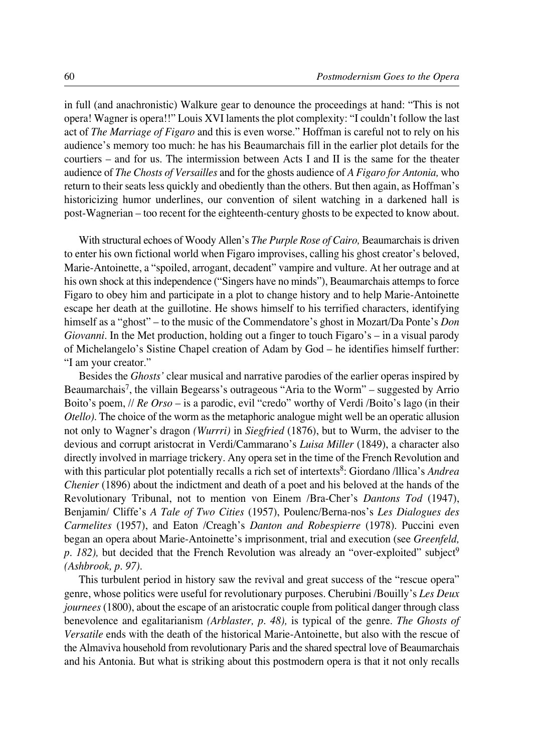in full (and anachronistic) Walkure gear to denounce the proceedings at hand: "This is not opera! Wagner is opera!!" Louis XVI laments the plot complexity: "I couldn't follow the last act of *The Marriage of Figaro* and this is even worse." Hoffman is careful not to rely on his audience's memory too much: he has his Beaumarchais fill in the earlier plot details for the courtiers – and for us. The intermission between Acts I and II is the same for the theater audience of *The Chosts of Versailles* and for the ghosts audience of *A Figaro for Antonia,* who return to their seats less quickly and obediently than the others. But then again, as Hoffman's historicizing humor underlines, our convention of silent watching in a darkened hall is post-Wagnerian – too recent for the eighteenth-century ghosts to be expected to know about.

With structural echoes of Woody Allen's *The Purple Rose of Cairo,* Beaumarchais is driven to enter his own fictional world when Figaro improvises, calling his ghost creator's beloved, Marie-Antoinette, a "spoiled, arrogant, decadent" vampire and vulture. At her outrage and at his own shock at this independence ("Singers have no minds"), Beaumarchais attemps to force Figaro to obey him and participate in a plot to change history and to help Marie-Antoinette escape her death at the guillotine. He shows himself to his terrified characters, identifying himself as a "ghost" – to the music of the Commendatore's ghost in Mozart/Da Ponte's *Don Giovanni*. In the Met production, holding out a finger to touch Figaro's – in a visual parody of Michelangelo's Sistine Chapel creation of Adam by God – he identifies himself further: "I am your creator."

Besides the *Ghosts'* clear musical and narrative parodies of the earlier operas inspired by Beaumarchais<sup>7</sup>, the villain Begearss's outrageous "Aria to the Worm" – suggested by Arrio Boito's poem, // *Re Orso* – is a parodic, evil "credo" worthy of Verdi /Boito's lago (in their *Otello).* The choice of the worm as the metaphoric analogue might well be an operatic allusion not only to Wagner's dragon *(Wurrri)* in *Siegfried* (1876), but to Wurm, the adviser to the devious and corrupt aristocrat in Verdi/Cammarano's *Luisa Miller* (1849), a character also directly involved in marriage trickery. Any opera set in the time of the French Revolution and with this particular plot potentially recalls a rich set of intertexts<sup>8</sup>: Giordano /lllica's *Andrea Chenier* (1896) about the indictment and death of a poet and his beloved at the hands of the Revolutionary Tribunal, not to mention von Einem /Bra°Cher's *Dantons Tod* (1947), Benjamin/ Cliffe's *A Tale of Two Cities* (1957), Poulenc/Berna-nos's Les Dialogues des *Carmelites* (1957), and Eaton /Creagh's *Danton and Robespierre* (1978). Puccini even began an opera about Marie°Antoinette's imprisonment, trial and execution (see *Greenfeld, p. 182), but decided that the French Revolution was already an "over-exploited" subject*<sup>9</sup> *(Ashbrook, p. 97).*

This turbulent period in history saw the revival and great success of the "rescue opera" genre, whose politics were useful for revolutionary purposes. Cherubini /Bouilly's *Les Deux journees* (1800), about the escape of an aristocratic couple from political danger through class benevolence and egalitarianism *(Arblaster, p. 48),* is typical of the genre. *The Ghosts of Versatile* ends with the death of the historical Marie°Antoinette, but also with the rescue of the Almaviva household from revolutionary Paris and the shared spectral love of Beaumarchais and his Antonia. But what is striking about this postmodern opera is that it not only recalls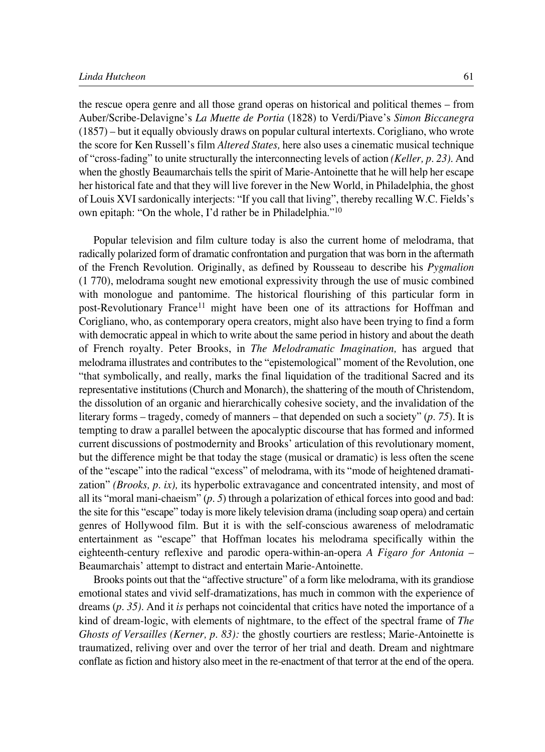the rescue opera genre and all those grand operas on historical and political themes – from Auber/Scribe°Delavigne's *La Muette de Portia* (1828) to Verdi/Piave's *Simon Biccanegra* (1857) – but it equally obviously draws on popular cultural intertexts. Corigliano, who wrote the score for Ken Russell's film *Altered States,* here also uses a cinematic musical technique of "cross°fading" to unite structurally the interconnecting levels of action *(Keller, p. 23).* And when the ghostly Beaumarchais tells the spirit of Marie-Antoinette that he will help her escape her historical fate and that they will live forever in the New World, in Philadelphia, the ghost of Louis XVI sardonically interjects: "If you call that living", thereby recalling W.C. Fields's own epitaph: "On the whole, I'd rather be in Philadelphia."10

Popular television and film culture today is also the current home of melodrama, that radically polarized form of dramatic confrontation and purgation that was born in the aftermath of the French Revolution. Originally, as defined by Rousseau to describe his *Pygmalion*  (1 770), melodrama sought new emotional expressivity through the use of music combined with monologue and pantomime. The historical flourishing of this particular form in post-Revolutionary France<sup>11</sup> might have been one of its attractions for Hoffman and Corigliano, who, as contemporary opera creators, might also have been trying to find a form with democratic appeal in which to write about the same period in history and about the death of French royalty. Peter Brooks, in *The Melodramatic Imagination,* has argued that melodrama illustrates and contributes to the "epistemological" moment of the Revolution, one "that symbolically, and really, marks the final liquidation of the traditional Sacred and its representative institutions (Church and Monarch), the shattering of the mouth of Christendom, the dissolution of an organic and hierarchically cohesive society, and the invalidation of the literary forms – tragedy, comedy of manners – that depended on such a society" (*p. 75*). It is tempting to draw a parallel between the apocalyptic discourse that has formed and informed current discussions of postmodernity and Brooks' articulation of this revolutionary moment, but the difference might be that today the stage (musical or dramatic) is less often the scene of the "escape" into the radical "excess" of melodrama, with its "mode of heightened dramatization" *(Brooks, p. ix),* its hyperbolic extravagance and concentrated intensity, and most of all its "moral mani-chaeism"  $(p, 5)$  through a polarization of ethical forces into good and bad: the site for this "escape" today is more likely television drama (including soap opera) and certain genres of Hollywood film. But it is with the self-conscious awareness of melodramatic entertainment as "escape" that Hoffman locates his melodrama specifically within the eighteenth-century reflexive and parodic opera-within-an-opera *A Figaro for Antonia –* Beaumarchais' attempt to distract and entertain Marie-Antoinette.

Brooks points out that the "affective structure" of a form like melodrama, with its grandiose emotional states and vivid self-dramatizations, has much in common with the experience of dreams (*p. 35).* And it *is* perhaps not coincidental that critics have noted the importance of a kind of dream-logic, with elements of nightmare, to the effect of the spectral frame of *The Ghosts of Versailles (Kerner, p. 83):* the ghostly courtiers are restless; Marie-Antoinette is traumatized, reliving over and over the terror of her trial and death. Dream and nightmare conflate as fiction and history also meet in the re-enactment of that terror at the end of the opera.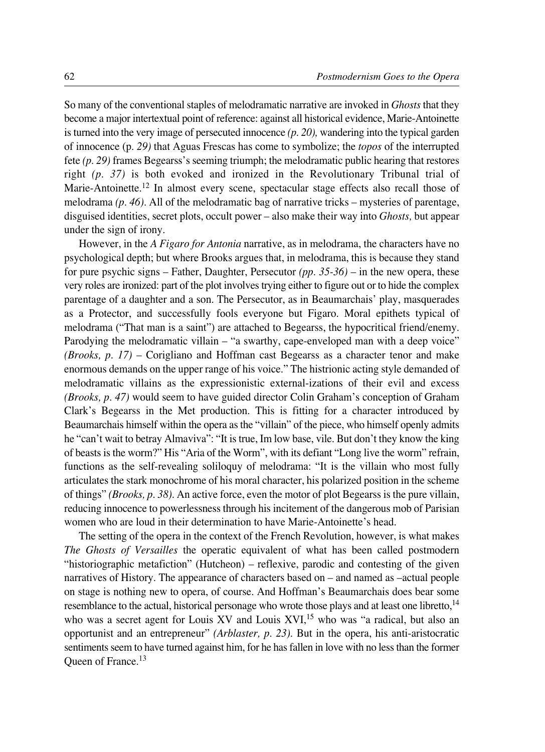So many of the conventional staples of melodramatic narrative are invoked in *Ghosts* that they become a major intertextual point of reference: against all historical evidence, Marie-Antoinette is turned into the very image of persecuted innocence *(p. 20),* wandering into the typical garden of innocence (p. *29)* that Aguas Frescas has come to symbolize; the *topos* of the interrupted fete *(p. 29)* frames Begearss's seeming triumph; the melodramatic public hearing that restores right *(p. 37)* is both evoked and ironized in the Revolutionary Tribunal trial of Marie-Antoinette.<sup>12</sup> In almost every scene, spectacular stage effects also recall those of melodrama *(p. 46).* All of the melodramatic bag of narrative tricks – mysteries of parentage, disguised identities, secret plots, occult power – also make their way into *Ghosts,* but appear under the sign of irony.

However, in the *A Figaro for Antonia* narrative, as in melodrama, the characters have no psychological depth; but where Brooks argues that, in melodrama, this is because they stand for pure psychic signs – Father, Daughter, Persecutor *(pp. 35°36)* – in the new opera, these very roles are ironized: part of the plot involves trying either to figure out or to hide the complex parentage of a daughter and a son. The Persecutor, as in Beaumarchais' play, masquerades as a Protector, and successfully fools everyone but Figaro. Moral epithets typical of melodrama ("That man is a saint") are attached to Begearss, the hypocritical friend/enemy. Parodying the melodramatic villain – "a swarthy, cape-enveloped man with a deep voice" *(Brooks, p. 17)* – Corigliano and Hoffman cast Begearss as a character tenor and make enormous demands on the upper range of his voice." The histrionic acting style demanded of melodramatic villains as the expressionistic external-izations of their evil and excess *(Brooks, p. 47)* would seem to have guided director Colin Graham's conception of Graham Clark's Begearss in the Met production. This is fitting for a character introduced by Beaumarchais himself within the opera as the "villain" of the piece, who himself openly admits he "can't wait to betray Almaviva": "It is true, Im low base, vile. But don't they know the king of beasts is the worm?" His "Aria of the Worm", with its defiant "Long live the worm" refrain, functions as the self-revealing soliloquy of melodrama: "It is the villain who most fully articulates the stark monochrome of his moral character, his polarized position in the scheme of things" *(Brooks, p. 38).* An active force, even the motor of plot Begearss is the pure villain, reducing innocence to powerlessness through his incitement of the dangerous mob of Parisian women who are loud in their determination to have Marie-Antoinette's head.

The setting of the opera in the context of the French Revolution, however, is what makes *The Ghosts of Versailles* the operatic equivalent of what has been called postmodern "historiographic metafiction" (Hutcheon) – reflexive, parodic and contesting of the given narratives of History. The appearance of characters based on – and named as –actual people on stage is nothing new to opera, of course. And Hoffman's Beaumarchais does bear some resemblance to the actual, historical personage who wrote those plays and at least one libretto,<sup>14</sup> who was a secret agent for Louis XV and Louis XVI,<sup>15</sup> who was "a radical, but also an opportunist and an entrepreneur" *(Arblaster, p. 23)*. But in the opera, his anti-aristocratic sentiments seem to have turned against him, for he has fallen in love with no less than the former Queen of France.<sup>13</sup>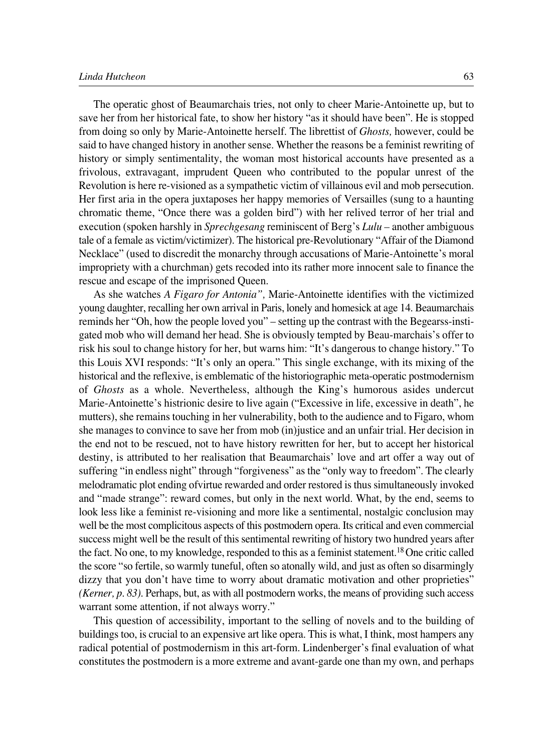The operatic ghost of Beaumarchais tries, not only to cheer Marie°Antoinette up, but to save her from her historical fate, to show her history "as it should have been". He is stopped from doing so only by Marie°Antoinette herself. The librettist of *Ghosts,* however, could be said to have changed history in another sense. Whether the reasons be a feminist rewriting of history or simply sentimentality, the woman most historical accounts have presented as a frivolous, extravagant, imprudent Queen who contributed to the popular unrest of the Revolution is here re-visioned as a sympathetic victim of villainous evil and mob persecution. Her first aria in the opera juxtaposes her happy memories of Versailles (sung to a haunting chromatic theme, "Once there was a golden bird") with her relived terror of her trial and execution (spoken harshly in *Sprechgesang* reminiscent of Berg's *Lulu –* another ambiguous tale of a female as victim/victimizer). The historical pre°Revolutionary "Affair of the Diamond Necklace" (used to discredit the monarchy through accusations of Marie-Antoinette's moral impropriety with a churchman) gets recoded into its rather more innocent sale to finance the rescue and escape of the imprisoned Queen.

As she watches *A Figaro for Antonia",* Marie°Antoinette identifies with the victimized young daughter, recalling her own arrival in Paris, lonely and homesick at age 14. Beaumarchais reminds her "Oh, how the people loved you" – setting up the contrast with the Begearss-instigated mob who will demand her head. She is obviously tempted by Beau-marchais's offer to risk his soul to change history for her, but warns him: "It's dangerous to change history." To this Louis XVI responds: "It's only an opera." This single exchange, with its mixing of the historical and the reflexive, is emblematic of the historiographic meta-operatic postmodernism of *Ghosts* as a whole. Nevertheless, although the King's humorous asides undercut Marie°Antoinette's histrionic desire to live again ("Excessive in life, excessive in death", he mutters), she remains touching in her vulnerability, both to the audience and to Figaro, whom she manages to convince to save her from mob (in)justice and an unfair trial. Her decision in the end not to be rescued, not to have history rewritten for her, but to accept her historical destiny, is attributed to her realisation that Beaumarchais' love and art offer a way out of suffering "in endless night" through "forgiveness" as the "only way to freedom". The clearly melodramatic plot ending ofvirtue rewarded and order restored is thus simultaneously invoked and "made strange": reward comes, but only in the next world. What, by the end, seems to look less like a feminist re-visioning and more like a sentimental, nostalgic conclusion may well be the most complicitous aspects of this postmodern opera. Its critical and even commercial success might well be the result of this sentimental rewriting of history two hundred years after the fact. No one, to my knowledge, responded to this as a feminist statement.18 One critic called the score "so fertile, so warmly tuneful, often so atonally wild, and just as often so disarmingly dizzy that you don't have time to worry about dramatic motivation and other proprieties" *(Kerner, p. 83).* Perhaps, but, as with all postmodern works, the means of providing such access warrant some attention, if not always worry."

This question of accessibility, important to the selling of novels and to the building of buildings too, is crucial to an expensive art like opera. This is what, I think, most hampers any radical potential of postmodernism in this art-form. Lindenberger's final evaluation of what constitutes the postmodern is a more extreme and avant-garde one than my own, and perhaps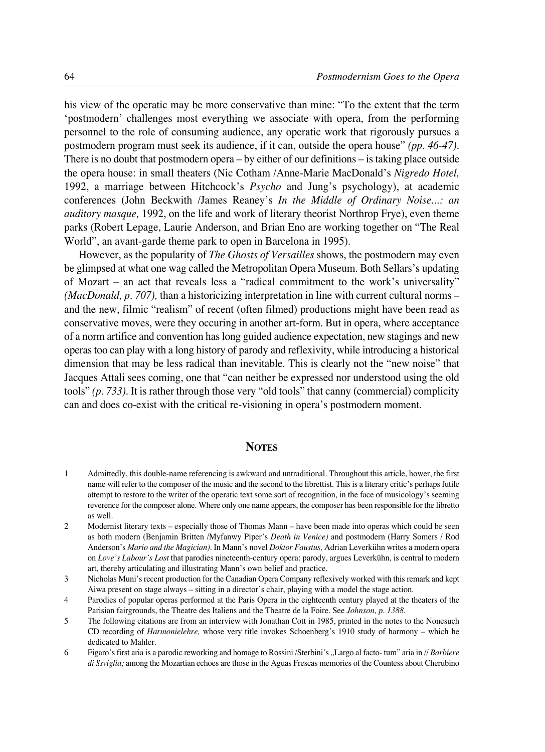his view of the operatic may be more conservative than mine: "To the extent that the term 'postmodern' challenges most everything we associate with opera, from the performing personnel to the role of consuming audience, any operatic work that rigorously pursues a postmodern program must seek its audience, if it can, outside the opera house" *(pp. 46°47).* There is no doubt that postmodern opera – by either of our definitions – is taking place outside the opera house: in small theaters (Nic Cotham /Anne°Marie MacDonald's *Nigredo Hotel,* 1992, a marriage between Hitchcock's *Psycho* and Jung's psychology), at academic conferences (John Beckwith /James Reaney's *In the Middle of Ordinary Noise...: an auditory masque,* 1992, on the life and work of literary theorist Northrop Frye), even theme parks (Robert Lepage, Laurie Anderson, and Brian Eno are working together on "The Real World", an avant-garde theme park to open in Barcelona in 1995).

However, as the popularity of *The Ghosts of Versailles* shows, the postmodern may even be glimpsed at what one wag called the Metropolitan Opera Museum. Both Sellars's updating of Mozart – an act that reveals less a "radical commitment to the work's universality" *(MacDonald, p. 707),* than a historicizing interpretation in line with current cultural norms – and the new, filmic "realism" of recent (often filmed) productions might have been read as conservative moves, were they occuring in another art-form. But in opera, where acceptance of a norm artifice and convention has long guided audience expectation, new stagings and new operas too can play with a long history of parody and reflexivity, while introducing a historical dimension that may be less radical than inevitable. This is clearly not the "new noise" that Jacques Attali sees coming, one that "can neither be expressed nor understood using the old tools" *(p. 733)*. It is rather through those very "old tools" that canny (commercial) complicity can and does co-exist with the critical re-visioning in opera's postmodern moment.

## **NOTES**

- 1 Admittedly, this double-name referencing is awkward and untraditional. Throughout this article, hower, the first name will refer to the composer of the music and the second to the librettist. This is a literary critic's perhaps futile attempt to restore to the writer of the operatic text some sort of recognition, in the face of musicology's seeming reverence for the composer alone. Where only one name appears, the composer has been responsible for the libretto as well.
- 2 Modernist literary texts especially those of Thomas Mann have been made into operas which could be seen as both modern (Benjamin Britten /Myfanwy Piper's *Death in Venice)* and postmodern (Harry Somers / Rod Anderson's *Mario and the Magician).* In Mann's novel *Doktor Faustus,* Adrian Leverkiihn writes a modern opera on *Love's Labour's Lost* that parodies nineteenth-century opera: parody, argues Leverkühn, is central to modern art, thereby articulating and illustrating Mann's own belief and practice.
- 3 Nicholas Muni's recent production for the Canadian Opera Company reflexively worked with this remark and kept Aiwa present on stage always – sitting in a director's chair, playing with a model the stage action.
- 4 Parodies of popular operas performed at the Paris Opera in the eighteenth century played at the theaters of the Parisian fairgrounds, the Theatre des Italiens and the Theatre de la Foire. See *Johnson, p. 1388.*
- 5 The following citations are from an interview with Jonathan Cott in 1985, printed in the notes to the Nonesuch CD recording of *Harmonielehre,* whose very title invokes Schoenberg's 1910 study of harmony – which he dedicated to Mahler.
- 6 Figaro's first aria is a parodic reworking and homage to Rossini /Sterbini's "Largo al facto- tum" aria in // *Barbiere di Ssviglia;* among the Mozartian echoes are those in the Aguas Frescas memories of the Countess about Cherubino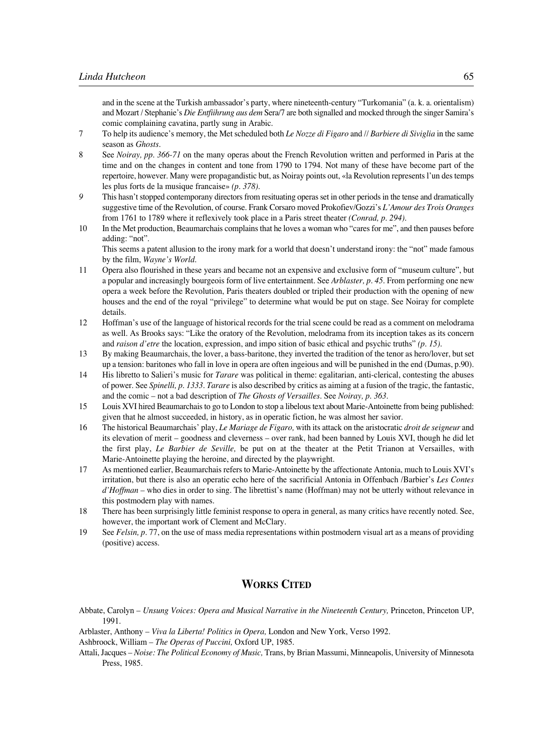and in the scene at the Turkish ambassador's party, where nineteenth-century "Turkomania" (a. k. a. orientalism) and Mozart / Stephanie's *Die Entfiihrung aus dem* Sera/7 are both signalled and mocked through the singer Samira's comic complaining cavatina, partly sung in Arabic.

- 7 To help its audience's memory, the Met scheduled both *Le Nozze di Figaro* and // *Barbiere di Siviglia* in the same season as *Ghosts.*
- 8 See *Noiray, pp. 366°71* on the many operas about the French Revolution written and performed in Paris at the time and on the changes in content and tone from 1790 to 1794. Not many of these have become part of the repertoire, however. Many were propagandistic but, as Noiray points out, «la Revolution represents l'un des temps les plus forts de la musique francaise» *(p. 378).*
- *9* This hasn't stopped contemporany directors from resituating operas set in other periods in the tense and dramatically suggestive time of the Revolution, of course. Frank Corsaro moved Prokofiev/Gozzi's *L'Amour des Trois Oranges* from 1761 to 1789 where it reflexively took place in a Paris street theater *(Conrad, p. 294).*
- 10 In the Met production, Beaumarchais complains that he loves a woman who "cares for me", and then pauses before adding: "not".

This seems a patent allusion to the irony mark for a world that doesn't understand irony: the "not" made famous by the film, *Wayne's World.*

- 11 Opera also flourished in these years and became not an expensive and exclusive form of "museum culture", but a popular and increasingly bourgeois form of live entertainment. See *Arblaster, p. 45.* From performing one new opera a week before the Revolution, Paris theaters doubled or tripled their production with the opening of new houses and the end of the royal "privilege" to determine what would be put on stage. See Noiray for complete details.
- 12 Hoffman's use of the language of historical records for the trial scene could be read as a comment on melodrama as well. As Brooks says: "Like the oratory of the Revolution, melodrama from its inception takes as its concern and *raison d'etre* the location, expression, and impo sition of basic ethical and psychic truths" *(p. 15).*
- 13 By making Beaumarchais, the lover, a bass-baritone, they inverted the tradition of the tenor as hero/lover, but set up a tension: baritones who fall in love in opera are often ingeious and will be punished in the end (Dumas, p.90).
- 14 His libretto to Salieri's music for *Tarare* was political in theme: egalitarian, anti-clerical, contesting the abuses of power. See *Spinelli, p. 1333. Tarare* is also described by critics as aiming at a fusion of the tragic, the fantastic, and the comic – not a bad description of *The Ghosts of Versailles.* See *Noiray, p. 363.*
- 15 Louis XVI hired Beaumarchais to go to London to stop a libelous text about Marie°Antoinette from being published: given that he almost succeeded, in history, as in operatic fiction, he was almost her savior.
- 16 The historical Beaumarchais' play, *Le Mariage de Figaro,* with its attack on the aristocratic *droit de seigneur* and its elevation of merit – goodness and cleverness – over rank, had been banned by Louis XVI, though he did let the first play, *Le Barbier de Seville,* be put on at the theater at the Petit Trianon at Versailles, with Marie-Antoinette playing the heroine, and directed by the playwright.
- 17 As mentioned earlier, Beaumarchais refers to Marie°Antoinette by the affectionate Antonia, much to Louis XVI's irritation, but there is also an operatic echo here of the sacrificial Antonia in Offenbach /Barbier's *Les Contes d'Hoffman –* who dies in order to sing. The librettist's name (Hoffman) may not be utterly without relevance in this postmodern play with names.
- 18 There has been surprisingly little feminist response to opera in general, as many critics have recently noted. See, however, the important work of Clement and McClary.
- 19 See *Felsin, p.* 77, on the use of mass media representations within postmodern visual art as a means of providing (positive) access.

## **WORKS CITED**

- Abbate, Carolyn *Unsung Voices: Opera and Musical Narrative in the Nineteenth Century,* Princeton, Princeton UP, 1991.
- Arblaster, Anthony *Viva la Liberta! Politics in Opera,* London and New York, Verso 1992.

Ashbroock, William – *The Operas of Puccini,* Oxford UP, 1985.

Attali, Jacques – *Noise: The Political Economy of Music,* Trans, by Brian Massumi, Minneapolis, University of Minnesota Press, 1985.